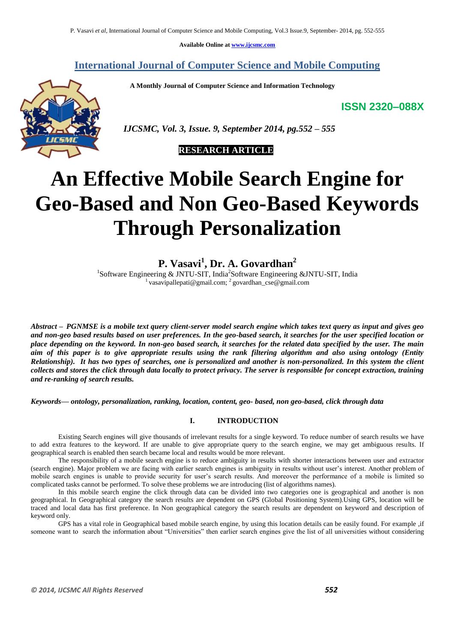**Available Online at www.ijcsmc.com**

**International Journal of Computer Science and Mobile Computing**

 **A Monthly Journal of Computer Science and Information Technology**

**ISSN 2320–088X**



 *IJCSMC, Vol. 3, Issue. 9, September 2014, pg.552 – 555*

 **RESEARCH ARTICLE**

# **An Effective Mobile Search Engine for Geo-Based and Non Geo-Based Keywords Through Personalization**

**P. Vasavi<sup>1</sup> , Dr. A. Govardhan<sup>2</sup>**

<sup>1</sup>Software Engineering & JNTU-SIT, India<sup>2</sup>Software Engineering &JNTU-SIT, India <sup>1</sup> vasavipallepati@gmail.com; <sup>2</sup> govardhan\_cse@gmail.com

*Abstract – PGNMSE is a mobile text query client-server model search engine which takes text query as input and gives geo and non-geo based results based on user preferences. In the geo-based search, it searches for the user specified location or place depending on the keyword. In non-geo based search, it searches for the related data specified by the user. The main aim of this paper is to give appropriate results using the rank filtering algorithm and also using ontology (Entity Relationship). It has two types of searches, one is personalized and another is non-personalized. In this system the client collects and stores the click through data locally to protect privacy. The server is responsible for concept extraction, training and re-ranking of search results.*

*Keywords— ontology, personalization, ranking, location, content, geo- based, non geo-based, click through data*

## **I. INTRODUCTION**

Existing Search engines will give thousands of irrelevant results for a single keyword. To reduce number of search results we have to add extra features to the keyword. If are unable to give appropriate query to the search engine, we may get ambiguous results. If geographical search is enabled then search became local and results would be more relevant.

The responsibility of a mobile search engine is to reduce ambiguity in results with shorter interactions between user and extractor (search engine). Major problem we are facing with earlier search engines is ambiguity in results without user's interest. Another problem of mobile search engines is unable to provide security for user's search results. And moreover the performance of a mobile is limited so complicated tasks cannot be performed. To solve these problems we are introducing (list of algorithms names).

In this mobile search engine the click through data can be divided into two categories one is geographical and another is non geographical. In Geographical category the search results are dependent on GPS (Global Positioning System).Using GPS, location will be traced and local data has first preference. In Non geographical category the search results are dependent on keyword and description of keyword only.

GPS has a vital role in Geographical based mobile search engine, by using this location details can be easily found. For example ,if someone want to search the information about "Universities" then earlier search engines give the list of all universities without considering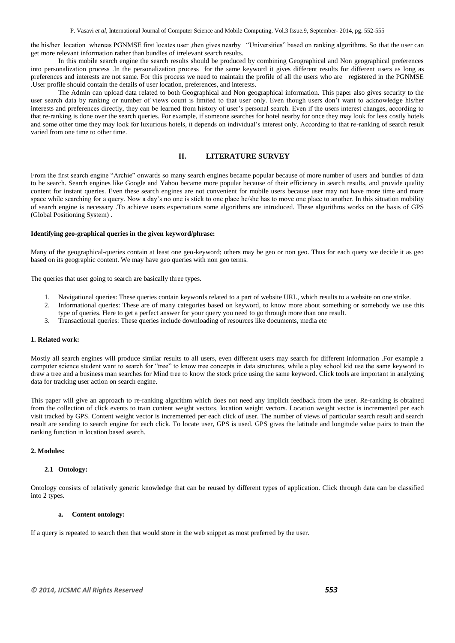P. Vasavi *et al*, International Journal of Computer Science and Mobile Computing, Vol.3 Issue.9, September- 2014, pg. 552-555

the his/her location whereas PGNMSE first locates user ,then gives nearby "Universities" based on ranking algorithms. So that the user can get more relevant information rather than bundles of irrelevant search results.

In this mobile search engine the search results should be produced by combining Geographical and Non geographical preferences into personalization process .In the personalization process for the same keyword it gives different results for different users as long as preferences and interests are not same. For this process we need to maintain the profile of all the users who are registered in the PGNMSE .User profile should contain the details of user location, preferences, and interests.

The Admin can upload data related to both Geographical and Non geographical information. This paper also gives security to the user search data by ranking or number of views count is limited to that user only. Even though users don't want to acknowledge his/her interests and preferences directly, they can be learned from history of user's personal search. Even if the users interest changes, according to that re-ranking is done over the search queries. For example, if someone searches for hotel nearby for once they may look for less costly hotels and some other time they may look for luxurious hotels, it depends on individual's interest only. According to that re-ranking of search result varied from one time to other time.

## **II. LITERATURE SURVEY**

From the first search engine "Archie" onwards so many search engines became popular because of more number of users and bundles of data to be search. Search engines like Google and Yahoo became more popular because of their efficiency in search results, and provide quality content for instant queries. Even these search engines are not convenient for mobile users because user may not have more time and more space while searching for a query. Now a day's no one is stick to one place he/she has to move one place to another. In this situation mobility of search engine is necessary .To achieve users expectations some algorithms are introduced. These algorithms works on the basis of GPS (Global Positioning System) .

#### **Identifying geo-graphical queries in the given keyword/phrase:**

Many of the geographical-queries contain at least one geo-keyword; others may be geo or non geo. Thus for each query we decide it as geo based on its geographic content. We may have geo queries with non geo terms.

The queries that user going to search are basically three types.

- 1. Navigational queries: These queries contain keywords related to a part of website URL, which results to a website on one strike.
- 2. Informational queries: These are of many categories based on keyword, to know more about something or somebody we use this type of queries. Here to get a perfect answer for your query you need to go through more than one result.
- 3. Transactional queries: These queries include downloading of resources like documents, media etc

## **1. Related work:**

Mostly all search engines will produce similar results to all users, even different users may search for different information .For example a computer science student want to search for "tree" to know tree concepts in data structures, while a play school kid use the same keyword to draw a tree and a business man searches for Mind tree to know the stock price using the same keyword. Click tools are important in analyzing data for tracking user action on search engine.

This paper will give an approach to re-ranking algorithm which does not need any implicit feedback from the user. Re-ranking is obtained from the collection of click events to train content weight vectors, location weight vectors. Location weight vector is incremented per each visit tracked by GPS. Content weight vector is incremented per each click of user. The number of views of particular search result and search result are sending to search engine for each click. To locate user, GPS is used. GPS gives the latitude and longitude value pairs to train the ranking function in location based search.

## **2. Modules:**

#### **2.1 Ontology:**

Ontology consists of relatively generic knowledge that can be reused by different types of application. Click through data can be classified into 2 types.

# **a. Content ontology:**

If a query is repeated to search then that would store in the web snippet as most preferred by the user.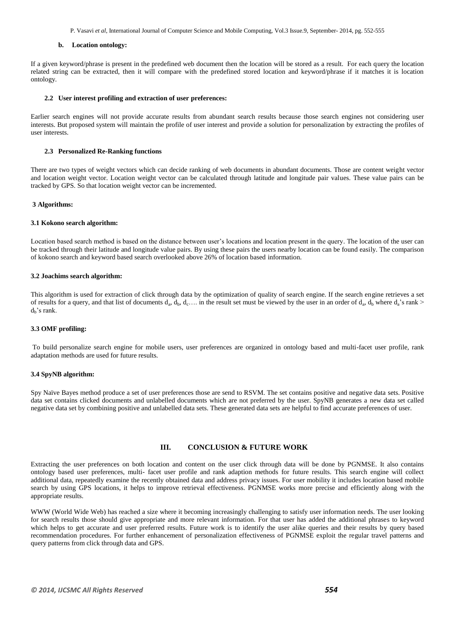P. Vasavi *et al*, International Journal of Computer Science and Mobile Computing, Vol.3 Issue.9, September- 2014, pg. 552-555

#### **b. Location ontology:**

If a given keyword/phrase is present in the predefined web document then the location will be stored as a result. For each query the location related string can be extracted, then it will compare with the predefined stored location and keyword/phrase if it matches it is location ontology.

## **2.2 User interest profiling and extraction of user preferences:**

Earlier search engines will not provide accurate results from abundant search results because those search engines not considering user interests. But proposed system will maintain the profile of user interest and provide a solution for personalization by extracting the profiles of user interests.

#### **2.3 Personalized Re-Ranking functions**

There are two types of weight vectors which can decide ranking of web documents in abundant documents. Those are content weight vector and location weight vector. Location weight vector can be calculated through latitude and longitude pair values. These value pairs can be tracked by GPS. So that location weight vector can be incremented.

#### **3 Algorithms:**

#### **3.1 Kokono search algorithm:**

Location based search method is based on the distance between user's locations and location present in the query. The location of the user can be tracked through their latitude and longitude value pairs. By using these pairs the users nearby location can be found easily. The comparison of kokono search and keyword based search overlooked above 26% of location based information.

#### **3.2 Joachims search algorithm:**

This algorithm is used for extraction of click through data by the optimization of quality of search engine. If the search engine retrieves a set of results for a query, and that list of documents  $d_a$ ,  $d_b$ ,  $d_c$ ... in the result set must be viewed by the user in an order of  $d_a$ ,  $d_b$  where  $d_a$ 's rank >  $d_b$ 's rank.

### **3.3 OMF profiling:**

To build personalize search engine for mobile users, user preferences are organized in ontology based and multi-facet user profile, rank adaptation methods are used for future results.

#### **3.4 SpyNB algorithm:**

Spy Naïve Bayes method produce a set of user preferences those are send to RSVM. The set contains positive and negative data sets. Positive data set contains clicked documents and unlabelled documents which are not preferred by the user. SpyNB generates a new data set called negative data set by combining positive and unlabelled data sets. These generated data sets are helpful to find accurate preferences of user.

## **III. CONCLUSION & FUTURE WORK**

Extracting the user preferences on both location and content on the user click through data will be done by PGNMSE. It also contains ontology based user preferences, multi- facet user profile and rank adaption methods for future results. This search engine will collect additional data, repeatedly examine the recently obtained data and address privacy issues. For user mobility it includes location based mobile search by using GPS locations, it helps to improve retrieval effectiveness. PGNMSE works more precise and efficiently along with the appropriate results.

WWW (World Wide Web) has reached a size where it becoming increasingly challenging to satisfy user information needs. The user looking for search results those should give appropriate and more relevant information. For that user has added the additional phrases to keyword which helps to get accurate and user preferred results. Future work is to identify the user alike queries and their results by query based recommendation procedures. For further enhancement of personalization effectiveness of PGNMSE exploit the regular travel patterns and query patterns from click through data and GPS.